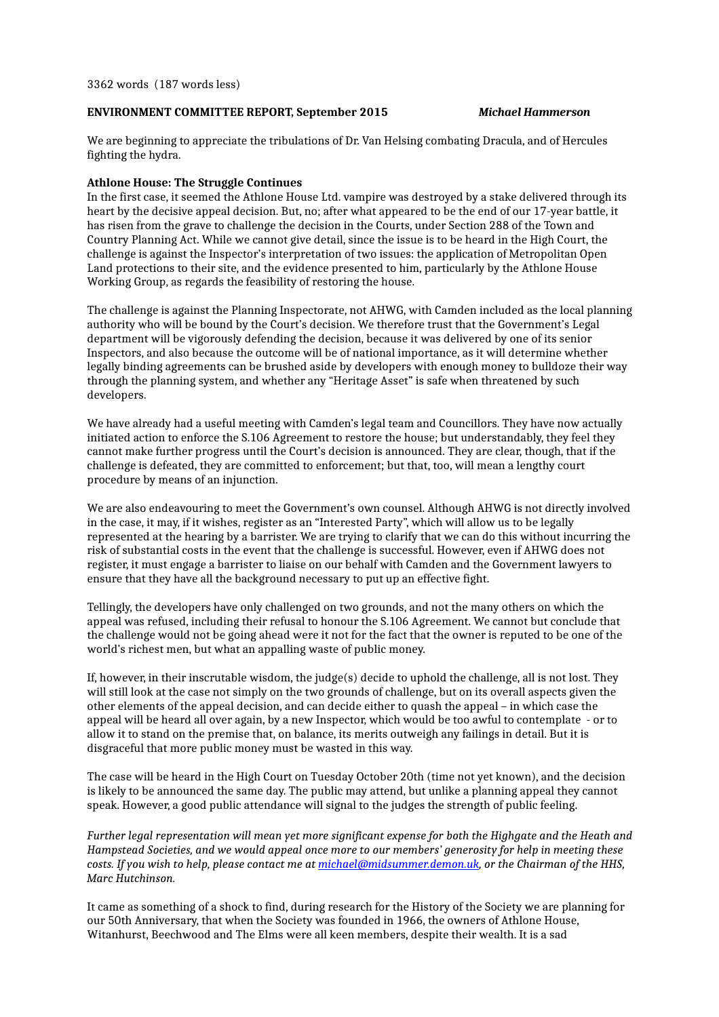# **ENVIRONMENT COMMITTEE REPORT, September 2015** *Michael Hammerson*

We are beginning to appreciate the tribulations of Dr. Van Helsing combating Dracula, and of Hercules fighting the hydra.

# **Athlone House: The Struggle Continues**

In the first case, it seemed the Athlone House Ltd. vampire was destroyed by a stake delivered through its heart by the decisive appeal decision. But, no; after what appeared to be the end of our 17-year battle, it has risen from the grave to challenge the decision in the Courts, under Section 288 of the Town and Country Planning Act. While we cannot give detail, since the issue is to be heard in the High Court, the challenge is against the Inspector's interpretation of two issues: the application of Metropolitan Open Land protections to their site, and the evidence presented to him, particularly by the Athlone House Working Group, as regards the feasibility of restoring the house.

The challenge is against the Planning Inspectorate, not AHWG, with Camden included as the local planning authority who will be bound by the Court's decision. We therefore trust that the Government's Legal department will be vigorously defending the decision, because it was delivered by one of its senior Inspectors, and also because the outcome will be of national importance, as it will determine whether legally binding agreements can be brushed aside by developers with enough money to bulldoze their way through the planning system, and whether any "Heritage Asset" is safe when threatened by such developers.

We have already had a useful meeting with Camden's legal team and Councillors. They have now actually initiated action to enforce the S.106 Agreement to restore the house; but understandably, they feel they cannot make further progress until the Court's decision is announced. They are clear, though, that if the challenge is defeated, they are committed to enforcement; but that, too, will mean a lengthy court procedure by means of an injunction.

We are also endeavouring to meet the Government's own counsel. Although AHWG is not directly involved in the case, it may, if it wishes, register as an "Interested Party", which will allow us to be legally represented at the hearing by a barrister. We are trying to clarify that we can do this without incurring the risk of substantial costs in the event that the challenge is successful. However, even if AHWG does not register, it must engage a barrister to liaise on our behalf with Camden and the Government lawyers to ensure that they have all the background necessary to put up an effective fight.

Tellingly, the developers have only challenged on two grounds, and not the many others on which the appeal was refused, including their refusal to honour the S.106 Agreement. We cannot but conclude that the challenge would not be going ahead were it not for the fact that the owner is reputed to be one of the world's richest men, but what an appalling waste of public money.

If, however, in their inscrutable wisdom, the judge(s) decide to uphold the challenge, all is not lost. They will still look at the case not simply on the two grounds of challenge, but on its overall aspects given the other elements of the appeal decision, and can decide either to quash the appeal – in which case the appeal will be heard all over again, by a new Inspector, which would be too awful to contemplate - or to allow it to stand on the premise that, on balance, its merits outweigh any failings in detail. But it is disgraceful that more public money must be wasted in this way.

The case will be heard in the High Court on Tuesday October 20th (time not yet known), and the decision is likely to be announced the same day. The public may attend, but unlike a planning appeal they cannot speak. However, a good public attendance will signal to the judges the strength of public feeling.

*Further legal representation will mean yet more significant expense for both the Highgate and the Heath and Hampstead Societies, and we would appeal once more to our members' generosity for help in meeting these costs. If you wish to help, please contact me at [michael@midsummer.demon.uk,](mailto:michael@midsummer.demon.uk) or the Chairman of the HHS, Marc Hutchinson.*

It came as something of a shock to find, during research for the History of the Society we are planning for our 50th Anniversary, that when the Society was founded in 1966, the owners of Athlone House, Witanhurst, Beechwood and The Elms were all keen members, despite their wealth. It is a sad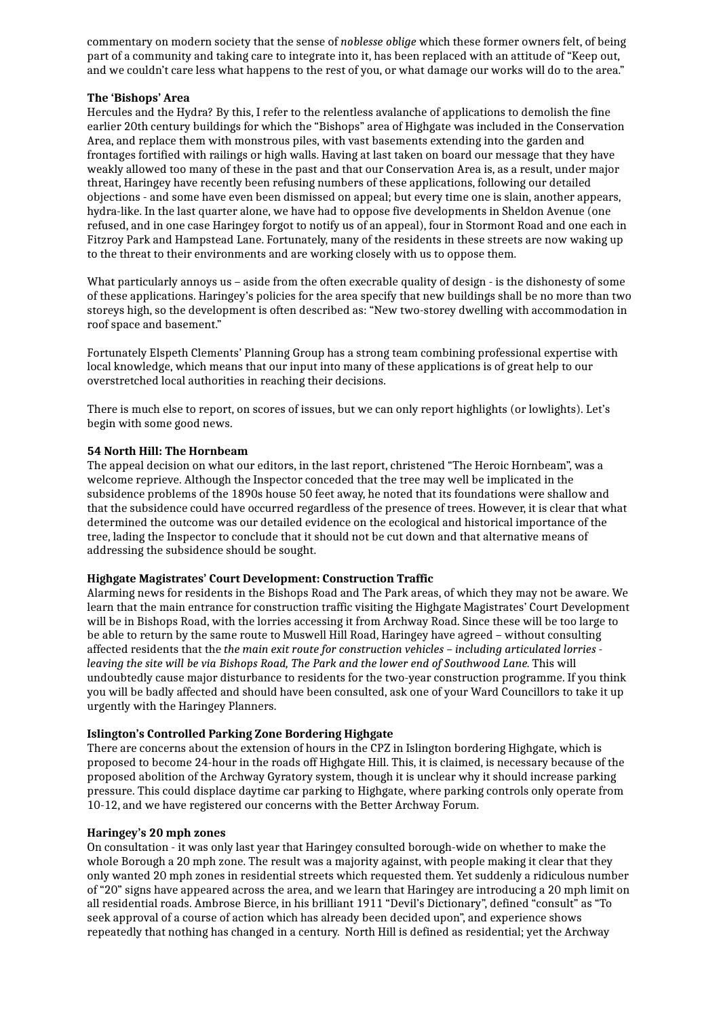commentary on modern society that the sense of *noblesse oblige* which these former owners felt, of being part of a community and taking care to integrate into it, has been replaced with an attitude of "Keep out, and we couldn't care less what happens to the rest of you, or what damage our works will do to the area."

# **The 'Bishops' Area**

Hercules and the Hydra? By this, I refer to the relentless avalanche of applications to demolish the fine earlier 20th century buildings for which the "Bishops" area of Highgate was included in the Conservation Area, and replace them with monstrous piles, with vast basements extending into the garden and frontages fortified with railings or high walls. Having at last taken on board our message that they have weakly allowed too many of these in the past and that our Conservation Area is, as a result, under major threat, Haringey have recently been refusing numbers of these applications, following our detailed objections - and some have even been dismissed on appeal; but every time one is slain, another appears, hydra-like. In the last quarter alone, we have had to oppose five developments in Sheldon Avenue (one refused, and in one case Haringey forgot to notify us of an appeal), four in Stormont Road and one each in Fitzroy Park and Hampstead Lane. Fortunately, many of the residents in these streets are now waking up to the threat to their environments and are working closely with us to oppose them.

What particularly annoys us – aside from the often execrable quality of design - is the dishonesty of some of these applications. Haringey's policies for the area specify that new buildings shall be no more than two storeys high, so the development is often described as: "New two-storey dwelling with accommodation in roof space and basement."

Fortunately Elspeth Clements' Planning Group has a strong team combining professional expertise with local knowledge, which means that our input into many of these applications is of great help to our overstretched local authorities in reaching their decisions.

There is much else to report, on scores of issues, but we can only report highlights (or lowlights). Let's begin with some good news.

# **54 North Hill: The Hornbeam**

The appeal decision on what our editors, in the last report, christened "The Heroic Hornbeam", was a welcome reprieve. Although the Inspector conceded that the tree may well be implicated in the subsidence problems of the 1890s house 50 feet away, he noted that its foundations were shallow and that the subsidence could have occurred regardless of the presence of trees. However, it is clear that what determined the outcome was our detailed evidence on the ecological and historical importance of the tree, lading the Inspector to conclude that it should not be cut down and that alternative means of addressing the subsidence should be sought.

# **Highgate Magistrates' Court Development: Construction Traffic**

Alarming news for residents in the Bishops Road and The Park areas, of which they may not be aware. We learn that the main entrance for construction traffic visiting the Highgate Magistrates' Court Development will be in Bishops Road, with the lorries accessing it from Archway Road. Since these will be too large to be able to return by the same route to Muswell Hill Road, Haringey have agreed – without consulting affected residents that the *the main exit route for construction vehicles – including articulated lorries leaving the site will be via Bishops Road, The Park and the lower end of Southwood Lane*. This will undoubtedly cause major disturbance to residents for the two-year construction programme. If you think you will be badly affected and should have been consulted, ask one of your Ward Councillors to take it up urgently with the Haringey Planners.

# **Islington's Controlled Parking Zone Bordering Highgate**

There are concerns about the extension of hours in the CPZ in Islington bordering Highgate, which is proposed to become 24-hour in the roads off Highgate Hill. This, it is claimed, is necessary because of the proposed abolition of the Archway Gyratory system, though it is unclear why it should increase parking pressure. This could displace daytime car parking to Highgate, where parking controls only operate from 10-12, and we have registered our concerns with the Better Archway Forum.

#### **Haringey's 20 mph zones**

On consultation - it was only last year that Haringey consulted borough-wide on whether to make the whole Borough a 20 mph zone. The result was a majority against, with people making it clear that they only wanted 20 mph zones in residential streets which requested them. Yet suddenly a ridiculous number of "20" signs have appeared across the area, and we learn that Haringey are introducing a 20 mph limit on all residential roads. Ambrose Bierce, in his brilliant 1911 "Devil's Dictionary", defined "consult" as "To seek approval of a course of action which has already been decided upon", and experience shows repeatedly that nothing has changed in a century. North Hill is defined as residential; yet the Archway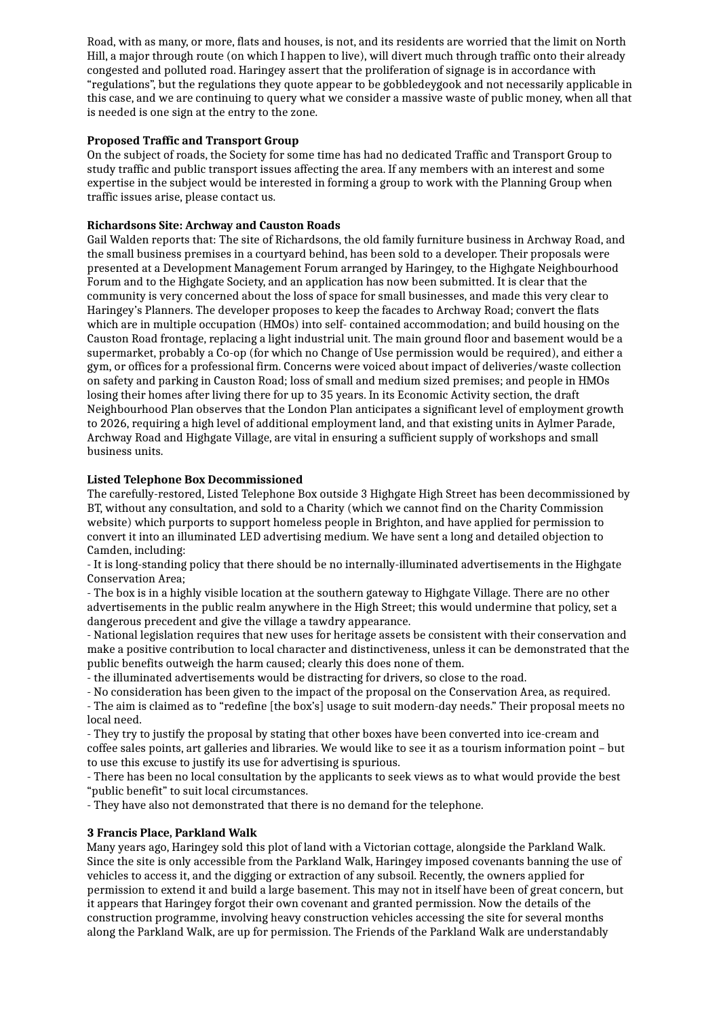Road, with as many, or more, flats and houses, is not, and its residents are worried that the limit on North Hill, a major through route (on which I happen to live), will divert much through traffic onto their already congested and polluted road. Haringey assert that the proliferation of signage is in accordance with "regulations", but the regulations they quote appear to be gobbledeygook and not necessarily applicable in this case, and we are continuing to query what we consider a massive waste of public money, when all that is needed is one sign at the entry to the zone.

# **Proposed Traffic and Transport Group**

On the subject of roads, the Society for some time has had no dedicated Traffic and Transport Groupto study traffic and public transport issues affecting the area. If any members with an interest and some expertise in the subject would be interested in forming a group to work with the Planning Group when traffic issues arise, please contact us.

# **Richardsons Site: Archway and Causton Roads**

Gail Walden reports that: The site of Richardsons, the old family furniture business in Archway Road, and the small business premises in a courtyard behind, has been sold to a developer. Their proposals were presented at a Development Management Forum arranged by Haringey, to the Highgate Neighbourhood Forum and to the Highgate Society, and an application has now been submitted. It is clear that the community is very concerned about the loss of space for small businesses, and made this very clear to Haringey's Planners. The developer proposes to keep the facades to Archway Road; convert the flats which are in multiple occupation (HMOs) into self- contained accommodation; and build housing on the Causton Road frontage, replacing a light industrial unit. The main ground floor and basement would be a supermarket, probably a Co-op (for which no Change of Use permission would be required), and either a gym, or offices for a professional firm. Concerns were voiced about impact of deliveries/waste collection on safety and parking in Causton Road; loss of small and medium sized premises; and people in HMOs losing their homes after living there for up to 35 years. In its Economic Activity section, the draft Neighbourhood Plan observes that the London Plan anticipates a significant level of employment growth to 2026, requiring a high level of additional employment land, and that existing units in Aylmer Parade, Archway Road and Highgate Village, are vital in ensuring a sufficient supply of workshops and small business units.

# **Listed Telephone Box Decommissioned**

The carefully-restored, Listed Telephone Box outside 3 Highgate High Street has been decommissioned by BT, without any consultation, and sold to a Charity (which we cannot find on the Charity Commission website) which purports to support homeless people in Brighton, and have applied for permission to convert it into an illuminated LED advertising medium. We have sent a long and detailed objection to Camden, including:

- It is long-standing policy that there should be no internally-illuminated advertisements in the Highgate Conservation Area;

- The box is in a highly visible location at the southern gateway to Highgate Village. There are no other advertisements in the public realm anywhere in the High Street; this would undermine that policy, set a dangerous precedent and give the village a tawdry appearance.

- National legislation requires that new uses for heritage assets be consistent with their conservation and make a positive contribution to local character and distinctiveness, unless it can be demonstrated that the public benefits outweigh the harm caused; clearly this does none of them.

- the illuminated advertisements would be distracting for drivers, so close to the road.

- No consideration has been given to the impact of the proposal on the Conservation Area, as required.

- The aim is claimed as to "redefine [the box's] usage to suit modern-day needs." Their proposal meets no local need.

- They try to justify the proposal by stating that other boxes have been converted into ice-cream and coffee sales points, art galleries and libraries. We would like to see it as a tourism information point – but to use this excuse to justify its use for advertising is spurious.

- There has been no local consultation by the applicants to seek views as to what would provide the best "public benefit" to suit local circumstances.

- They have also not demonstrated that there is no demand for the telephone.

# **3 Francis Place, Parkland Walk**

Many years ago, Haringey sold this plot of land with a Victorian cottage, alongside the Parkland Walk. Since the site is only accessible from the Parkland Walk, Haringey imposed covenants banning the use of vehicles to access it, and the digging or extraction of any subsoil. Recently, the owners applied for permission to extend it and build a large basement. This may not in itself have been of great concern, but it appears that Haringey forgot their own covenant and granted permission. Now the details of the construction programme, involving heavy construction vehicles accessing the site for several months along the Parkland Walk, are up for permission. The Friends of the Parkland Walk are understandably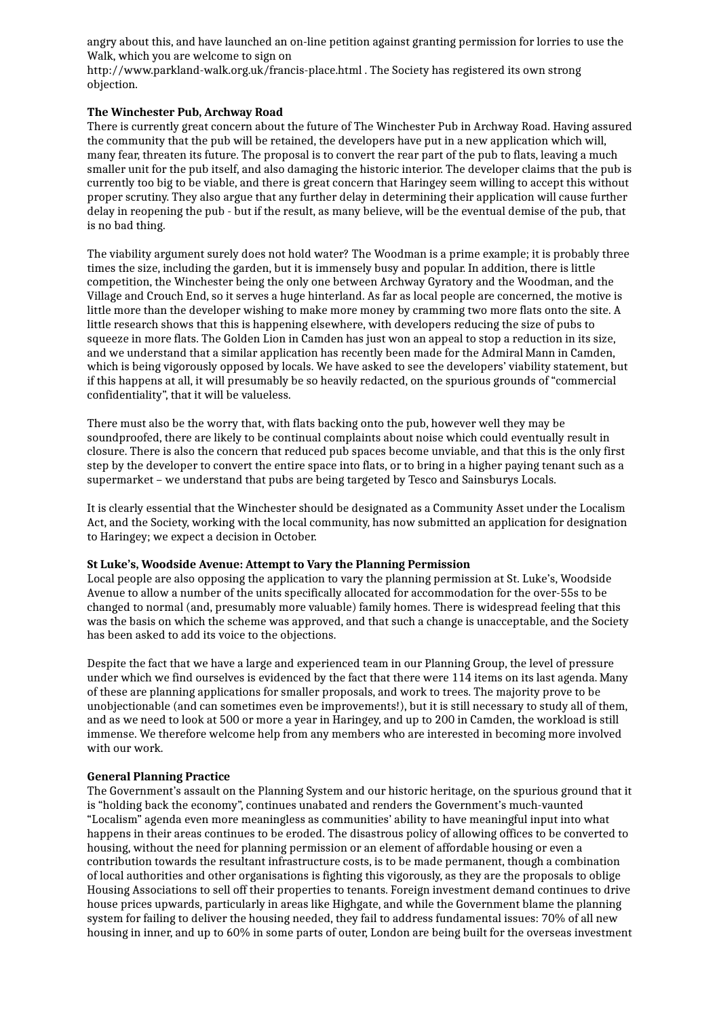angry about this, and have launched an on-line petition against granting permission for lorries to use the Walk, which you are welcome to sign on

http://www.parkland-walk.org.uk/francis-place.html . The Society has registered its own strong objection.

### **The Winchester Pub, Archway Road**

There is currently great concern about the future of The Winchester Pub in Archway Road. Having assured the community that the pub will be retained, the developers have put in a new application which will, many fear, threaten its future. The proposal is to convert the rear part of the pub to flats, leaving a much smaller unit for the pub itself, and also damaging the historic interior. The developer claims that the pub is currently too big to be viable, and there is great concern that Haringey seem willing to accept this without proper scrutiny. They also argue that any further delay in determining their application will cause further delay in reopening the pub - but if the result, as many believe, will be the eventual demise of the pub, that is no bad thing.

The viability argument surely does not hold water? The Woodman is a prime example; it is probably three times the size, including the garden, but it is immensely busy and popular. In addition, there is little competition, the Winchester being the only one between Archway Gyratory and the Woodman, and the Village and Crouch End, so it serves a huge hinterland. As far as local people are concerned, the motive is little more than the developer wishing to make more money by cramming two more flats onto the site. A little research shows that this is happening elsewhere, with developers reducing the size of pubs to squeeze in more flats. The Golden Lion in Camden has just won an appeal to stop a reduction in its size, and we understand that a similar application has recently been made for the Admiral Mann in Camden, which is being vigorously opposed by locals. We have asked to see the developers' viability statement, but if this happens at all, it will presumably be so heavily redacted, on the spurious grounds of "commercial confidentiality", that it will be valueless.

There must also be the worry that, with flats backing onto the pub, however well they may be soundproofed, there are likely to be continual complaints about noise which could eventually result in closure. There is also the concern that reduced pub spaces become unviable, and that this is the only first step by the developer to convert the entire space into flats, or to bring in a higher paying tenant such as a supermarket – we understand that pubs are being targeted by Tesco and Sainsburys Locals.

It is clearly essential that the Winchester should be designated as a Community Asset under the Localism Act, and the Society, working with the local community, has now submitted an application for designation to Haringey; we expect a decision in October.

#### **St Luke's, Woodside Avenue: Attempt to Vary the Planning Permission**

Local people are also opposing the application to vary the planning permission at St. Luke's, Woodside Avenue to allow a number of the units specifically allocated for accommodation for the over-55s to be changed to normal (and, presumably more valuable) family homes. There is widespread feeling that this was the basis on which the scheme was approved, and that such a change is unacceptable, and the Society has been asked to add its voice to the objections.

Despite the fact that we have a large and experienced team in our Planning Group, the level of pressure under which we find ourselves is evidenced by the fact that there were 114 items on its last agenda. Many of these are planning applications for smaller proposals, and work to trees. The majority prove to be unobjectionable (and can sometimes even be improvements!), but it is still necessary to study all of them, and as we need to look at 500 or more a year in Haringey, and up to 200 in Camden, the workload is still immense. We therefore welcome help from any members who are interested in becoming more involved with our work.

#### **General Planning Practice**

The Government's assault on the Planning System and our historic heritage, on the spurious ground that it is "holding back the economy", continues unabated and renders the Government's much-vaunted "Localism" agenda even more meaningless as communities' ability to have meaningful input into what happens in their areas continues to be eroded. The disastrous policy of allowing offices to be converted to housing, without the need for planning permission or an element of affordable housing or even a contribution towards the resultant infrastructure costs, is to be made permanent, though a combination of local authorities and other organisations is fighting this vigorously, as they are the proposals to oblige Housing Associations to sell off their properties to tenants. Foreign investment demand continues to drive house prices upwards, particularly in areas like Highgate, and while the Government blame the planning system for failing to deliver the housing needed, they fail to address fundamental issues: 70% of all new housing in inner, and up to 60% in some parts of outer, London are being built for the overseas investment